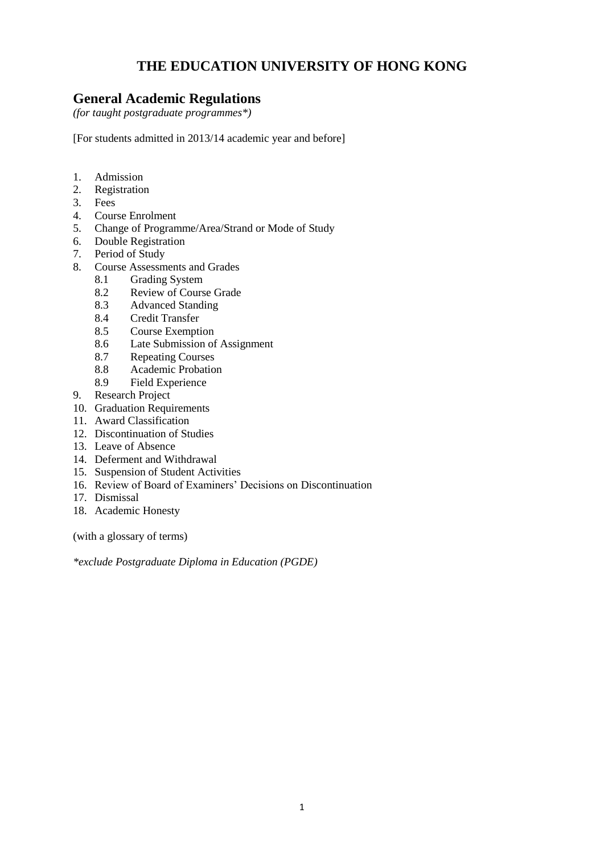# **THE EDUCATION UNIVERSITY OF HONG KONG**

# **General Academic Regulations**

*(for taught postgraduate programmes\*)*

[For students admitted in 2013/14 academic year and before]

- 1. Admission
- 2. Registration
- 3. Fees
- 4. Course Enrolment
- 5. Change of Programme/Area/Strand or Mode of Study
- 6. Double Registration
- 7. Period of Study
- 8. Course Assessments and Grades
	- 8.1 Grading System
	- 8.2 Review of Course Grade
	- 8.3 Advanced Standing<br>8.4 Credit Transfer
	- 8.4 Credit Transfer
	- 8.5 Course Exemption
	- 8.6 Late Submission of Assignment
	- 8.7 Repeating Courses
	- 8.8 Academic Probation
	- 8.9 Field Experience
- 9. Research Project
- 10. Graduation Requirements
- 11. Award Classification
- 12. Discontinuation of Studies
- 13. Leave of Absence
- 14. Deferment and Withdrawal
- 15. Suspension of Student Activities
- 16. Review of Board of Examiners' Decisions on Discontinuation
- 17. Dismissal
- 18. Academic Honesty

(with a glossary of terms)

*\*exclude Postgraduate Diploma in Education (PGDE)*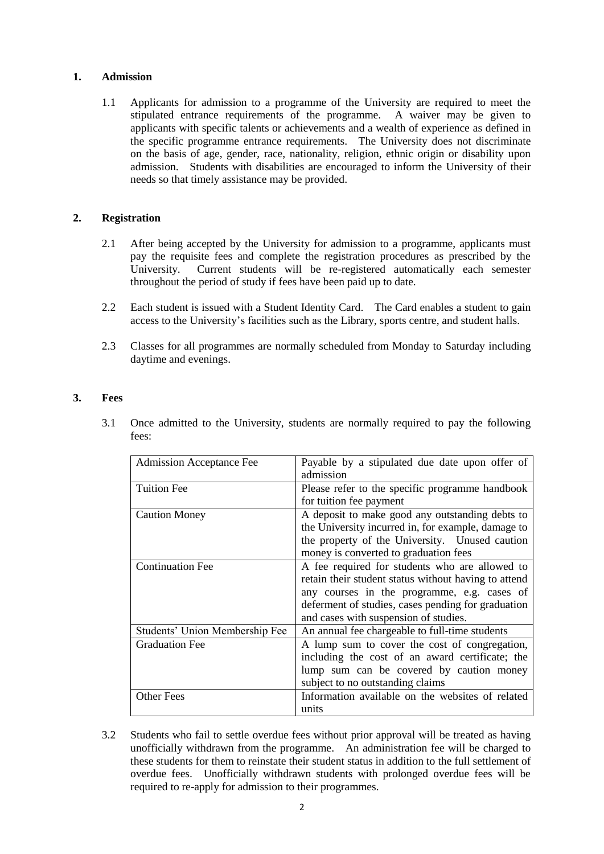# **1. Admission**

1.1 Applicants for admission to a programme of the University are required to meet the stipulated entrance requirements of the programme. A waiver may be given to applicants with specific talents or achievements and a wealth of experience as defined in the specific programme entrance requirements. The University does not discriminate on the basis of age, gender, race, nationality, religion, ethnic origin or disability upon admission. Students with disabilities are encouraged to inform the University of their needs so that timely assistance may be provided.

# **2. Registration**

- 2.1 After being accepted by the University for admission to a programme, applicants must pay the requisite fees and complete the registration procedures as prescribed by the University. Current students will be re-registered automatically each semester throughout the period of study if fees have been paid up to date.
- 2.2 Each student is issued with a Student Identity Card. The Card enables a student to gain access to the University's facilities such as the Library, sports centre, and student halls.
- 2.3 Classes for all programmes are normally scheduled from Monday to Saturday including daytime and evenings.

# **3. Fees**

3.1 Once admitted to the University, students are normally required to pay the following fees:

| <b>Admission Acceptance Fee</b> | Payable by a stipulated due date upon offer of<br>admission |
|---------------------------------|-------------------------------------------------------------|
| <b>Tuition Fee</b>              | Please refer to the specific programme handbook             |
|                                 | for tuition fee payment                                     |
| <b>Caution Money</b>            | A deposit to make good any outstanding debts to             |
|                                 | the University incurred in, for example, damage to          |
|                                 | the property of the University. Unused caution              |
|                                 | money is converted to graduation fees                       |
| <b>Continuation Fee</b>         | A fee required for students who are allowed to              |
|                                 | retain their student status without having to attend        |
|                                 | any courses in the programme, e.g. cases of                 |
|                                 | deferment of studies, cases pending for graduation          |
|                                 | and cases with suspension of studies.                       |
| Students' Union Membership Fee  | An annual fee chargeable to full-time students              |
| <b>Graduation Fee</b>           | A lump sum to cover the cost of congregation,               |
|                                 | including the cost of an award certificate; the             |
|                                 | lump sum can be covered by caution money                    |
|                                 | subject to no outstanding claims                            |
| <b>Other Fees</b>               | Information available on the websites of related            |
|                                 | units                                                       |

3.2 Students who fail to settle overdue fees without prior approval will be treated as having unofficially withdrawn from the programme. An administration fee will be charged to these students for them to reinstate their student status in addition to the full settlement of overdue fees. Unofficially withdrawn students with prolonged overdue fees will be required to re-apply for admission to their programmes.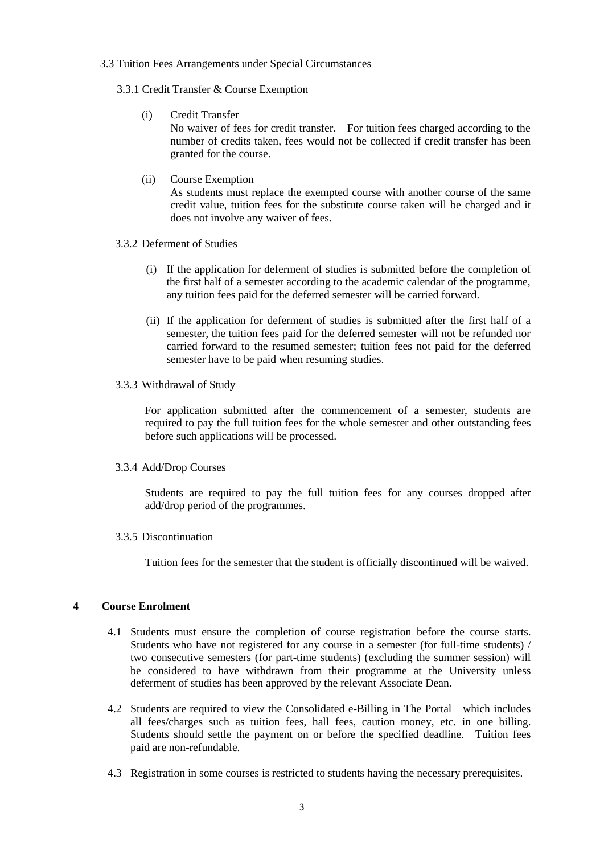## 3.3 Tuition Fees Arrangements under Special Circumstances

- 3.3.1 Credit Transfer & Course Exemption
	- (i) Credit Transfer

No waiver of fees for credit transfer. For tuition fees charged according to the number of credits taken, fees would not be collected if credit transfer has been granted for the course.

(ii) Course Exemption

As students must replace the exempted course with another course of the same credit value, tuition fees for the substitute course taken will be charged and it does not involve any waiver of fees.

- 3.3.2 Deferment of Studies
	- (i) If the application for deferment of studies is submitted before the completion of the first half of a semester according to the academic calendar of the programme, any tuition fees paid for the deferred semester will be carried forward.
	- (ii) If the application for deferment of studies is submitted after the first half of a semester, the tuition fees paid for the deferred semester will not be refunded nor carried forward to the resumed semester; tuition fees not paid for the deferred semester have to be paid when resuming studies.
- 3.3.3 Withdrawal of Study

For application submitted after the commencement of a semester, students are required to pay the full tuition fees for the whole semester and other outstanding fees before such applications will be processed.

3.3.4 Add/Drop Courses

Students are required to pay the full tuition fees for any courses dropped after add/drop period of the programmes.

3.3.5 Discontinuation

Tuition fees for the semester that the student is officially discontinued will be waived.

## **4 Course Enrolment**

- 4.1 Students must ensure the completion of course registration before the course starts. Students who have not registered for any course in a semester (for full-time students) / two consecutive semesters (for part-time students) (excluding the summer session) will be considered to have withdrawn from their programme at the University unless deferment of studies has been approved by the relevant Associate Dean.
- 4.2 Students are required to view the Consolidated e-Billing in The Portal which includes all fees/charges such as tuition fees, hall fees, caution money, etc. in one billing. Students should settle the payment on or before the specified deadline. Tuition fees paid are non-refundable.
- 4.3 Registration in some courses is restricted to students having the necessary prerequisites.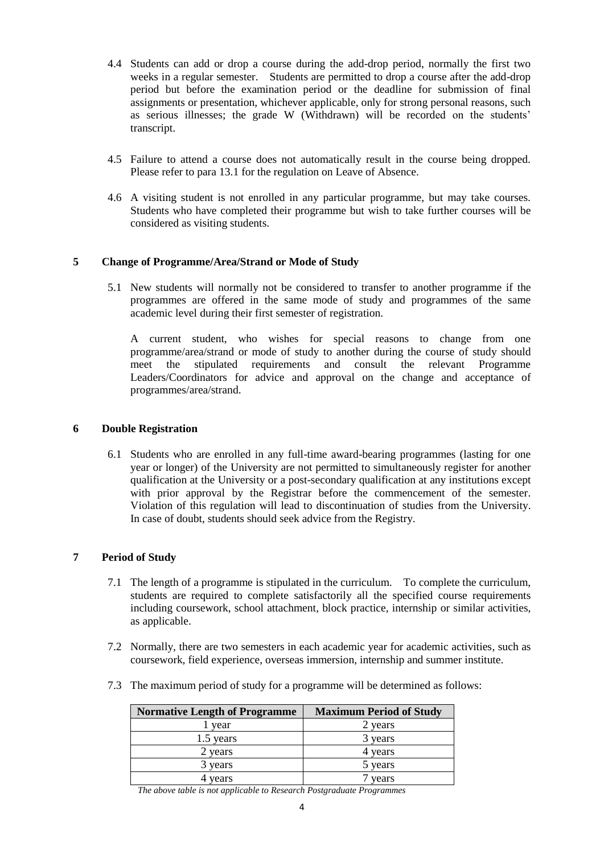- 4.4 Students can add or drop a course during the add-drop period, normally the first two weeks in a regular semester. Students are permitted to drop a course after the add-drop period but before the examination period or the deadline for submission of final assignments or presentation, whichever applicable, only for strong personal reasons, such as serious illnesses; the grade W (Withdrawn) will be recorded on the students' transcript.
- 4.5 Failure to attend a course does not automatically result in the course being dropped. Please refer to para 13.1 for the regulation on Leave of Absence.
- 4.6 A visiting student is not enrolled in any particular programme, but may take courses. Students who have completed their programme but wish to take further courses will be considered as visiting students.

# **5 Change of Programme/Area/Strand or Mode of Study**

5.1 New students will normally not be considered to transfer to another programme if the programmes are offered in the same mode of study and programmes of the same academic level during their first semester of registration.

A current student, who wishes for special reasons to change from one programme/area/strand or mode of study to another during the course of study should meet the stipulated requirements and consult the relevant Programme Leaders/Coordinators for advice and approval on the change and acceptance of programmes/area/strand.

## **6 Double Registration**

6.1 Students who are enrolled in any full-time award-bearing programmes (lasting for one year or longer) of the University are not permitted to simultaneously register for another qualification at the University or a post-secondary qualification at any institutions except with prior approval by the Registrar before the commencement of the semester. Violation of this regulation will lead to discontinuation of studies from the University. In case of doubt, students should seek advice from the Registry.

# **7 Period of Study**

- 7.1 The length of a programme is stipulated in the curriculum. To complete the curriculum, students are required to complete satisfactorily all the specified course requirements including coursework, school attachment, block practice, internship or similar activities, as applicable.
- 7.2 Normally, there are two semesters in each academic year for academic activities, such as coursework, field experience, overseas immersion, internship and summer institute.
- 7.3 The maximum period of study for a programme will be determined as follows:

| <b>Normative Length of Programme</b> | <b>Maximum Period of Study</b> |
|--------------------------------------|--------------------------------|
| year                                 | 2 years                        |
| 1.5 years                            | 3 years                        |
| 2 years                              | 4 years                        |
| 3 years                              | 5 years                        |
| years                                | vears                          |

*The above table is not applicable to Research Postgraduate Programmes*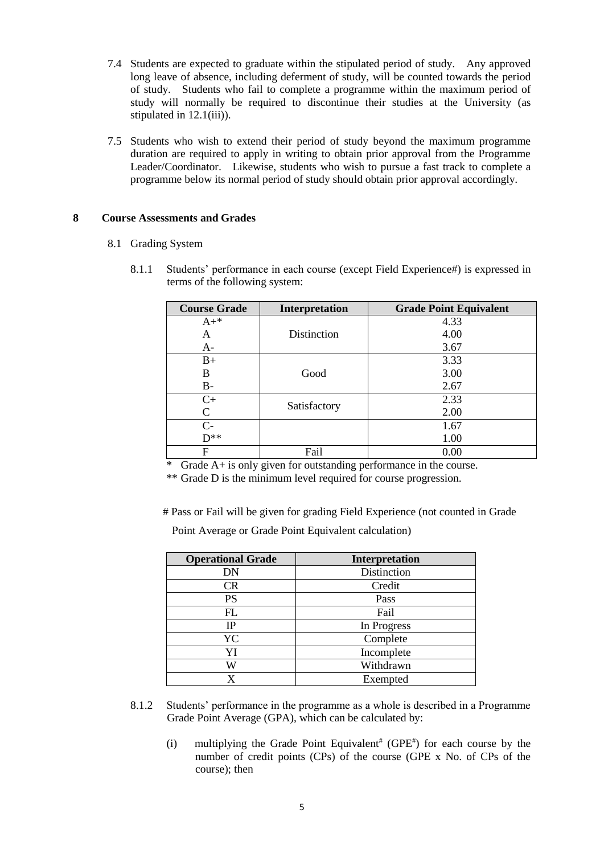- 7.4 Students are expected to graduate within the stipulated period of study. Any approved long leave of absence, including deferment of study, will be counted towards the period of study. Students who fail to complete a programme within the maximum period of study will normally be required to discontinue their studies at the University (as stipulated in 12.1(iii)).
- 7.5 Students who wish to extend their period of study beyond the maximum programme duration are required to apply in writing to obtain prior approval from the Programme Leader/Coordinator. Likewise, students who wish to pursue a fast track to complete a programme below its normal period of study should obtain prior approval accordingly.

# **8 Course Assessments and Grades**

- 8.1 Grading System
	- 8.1.1 Students' performance in each course (except Field Experience#) is expressed in terms of the following system:

| <b>Course Grade</b> | Interpretation | <b>Grade Point Equivalent</b> |
|---------------------|----------------|-------------------------------|
| $A+*$               |                | 4.33                          |
| A                   | Distinction    | 4.00                          |
| $A-$                |                | 3.67                          |
| $B+$                |                | 3.33                          |
| B                   | Good           | 3.00                          |
| $B-$                |                | 2.67                          |
| $C+$                |                | 2.33                          |
| C                   | Satisfactory   | 2.00                          |
| $C-$                |                | 1.67                          |
| $D**$               |                | 1.00                          |
| F                   | Fail           | 0.00                          |

 $*$  Grade A+ is only given for outstanding performance in the course.

\*\* Grade D is the minimum level required for course progression.

# Pass or Fail will be given for grading Field Experience (not counted in Grade

Point Average or Grade Point Equivalent calculation)

| <b>Operational Grade</b> | Interpretation |
|--------------------------|----------------|
| DN                       | Distinction    |
| CR                       | Credit         |
| PS                       | Pass           |
| FL                       | Fail           |
| IP                       | In Progress    |
| YC                       | Complete       |
| YI                       | Incomplete     |
| W                        | Withdrawn      |
| x                        | Exempted       |

- 8.1.2 Students' performance in the programme as a whole is described in a Programme Grade Point Average (GPA), which can be calculated by:
	- (i) multiplying the Grade Point Equivalent<sup>#</sup> (GPE<sup>#</sup>) for each course by the number of credit points (CPs) of the course (GPE x No. of CPs of the course); then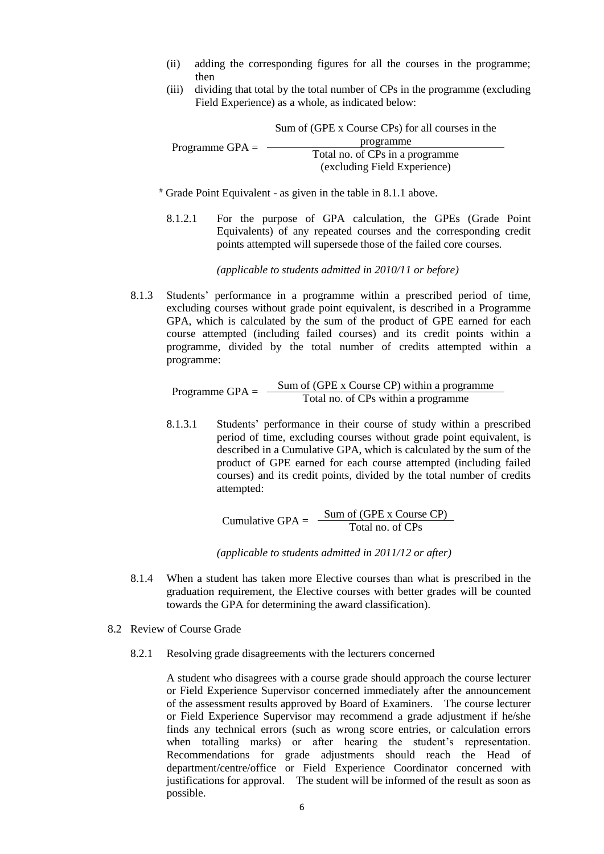- (ii) adding the corresponding figures for all the courses in the programme; then
- (iii) dividing that total by the total number of CPs in the programme (excluding Field Experience) as a whole, as indicated below:

Programme GPA  $=$   $-$ Sum of (GPE x Course CPs) for all courses in the programme Total no. of CPs in a programme (excluding Field Experience)

# Grade Point Equivalent - as given in the table in 8.1.1 above.

8.1.2.1 For the purpose of GPA calculation, the GPEs (Grade Point Equivalents) of any repeated courses and the corresponding credit points attempted will supersede those of the failed core courses.

*(applicable to students admitted in 2010/11 or before)*

8.1.3 Students' performance in a programme within a prescribed period of time, excluding courses without grade point equivalent, is described in a Programme GPA, which is calculated by the sum of the product of GPE earned for each course attempted (including failed courses) and its credit points within a programme, divided by the total number of credits attempted within a programme:

Programme  $GPA =$   $\frac{\text{Sum of (GPE x Course CP) within a programme}}{\text{Total no. of CPs within a programme}}$ 

8.1.3.1 Students' performance in their course of study within a prescribed period of time, excluding courses without grade point equivalent, is described in a Cumulative GPA, which is calculated by the sum of the product of GPE earned for each course attempted (including failed courses) and its credit points, divided by the total number of credits attempted:

Cumulative GPA =  $\frac{\text{Sum of (GPE x Course CP)}}{\text{Total no. of CPs}}$ 

*(applicable to students admitted in 2011/12 or after)*

- 8.1.4 When a student has taken more Elective courses than what is prescribed in the graduation requirement, the Elective courses with better grades will be counted towards the GPA for determining the award classification).
- 8.2 Review of Course Grade
	- 8.2.1 Resolving grade disagreements with the lecturers concerned

A student who disagrees with a course grade should approach the course lecturer or Field Experience Supervisor concerned immediately after the announcement of the assessment results approved by Board of Examiners. The course lecturer or Field Experience Supervisor may recommend a grade adjustment if he/she finds any technical errors (such as wrong score entries, or calculation errors when totalling marks) or after hearing the student's representation. Recommendations for grade adjustments should reach the Head of department/centre/office or Field Experience Coordinator concerned with justifications for approval. The student will be informed of the result as soon as possible.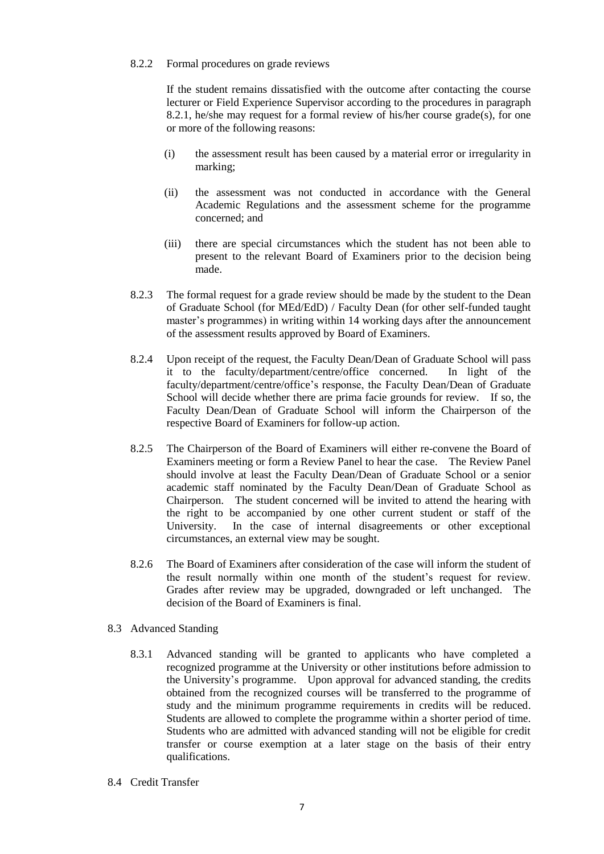#### 8.2.2 Formal procedures on grade reviews

If the student remains dissatisfied with the outcome after contacting the course lecturer or Field Experience Supervisor according to the procedures in paragraph 8.2.1, he/she may request for a formal review of his/her course grade(s), for one or more of the following reasons:

- (i) the assessment result has been caused by a material error or irregularity in marking;
- (ii) the assessment was not conducted in accordance with the General Academic Regulations and the assessment scheme for the programme concerned; and
- (iii) there are special circumstances which the student has not been able to present to the relevant Board of Examiners prior to the decision being made.
- 8.2.3 The formal request for a grade review should be made by the student to the Dean of Graduate School (for MEd/EdD) / Faculty Dean (for other self-funded taught master's programmes) in writing within 14 working days after the announcement of the assessment results approved by Board of Examiners.
- 8.2.4 Upon receipt of the request, the Faculty Dean/Dean of Graduate School will pass it to the faculty/department/centre/office concerned. In light of the faculty/department/centre/office's response, the Faculty Dean/Dean of Graduate School will decide whether there are prima facie grounds for review. If so, the Faculty Dean/Dean of Graduate School will inform the Chairperson of the respective Board of Examiners for follow-up action.
- 8.2.5 The Chairperson of the Board of Examiners will either re-convene the Board of Examiners meeting or form a Review Panel to hear the case. The Review Panel should involve at least the Faculty Dean/Dean of Graduate School or a senior academic staff nominated by the Faculty Dean/Dean of Graduate School as Chairperson. The student concerned will be invited to attend the hearing with the right to be accompanied by one other current student or staff of the University. In the case of internal disagreements or other exceptional circumstances, an external view may be sought.
- 8.2.6 The Board of Examiners after consideration of the case will inform the student of the result normally within one month of the student's request for review. Grades after review may be upgraded, downgraded or left unchanged. The decision of the Board of Examiners is final.
- 8.3 Advanced Standing
	- 8.3.1 Advanced standing will be granted to applicants who have completed a recognized programme at the University or other institutions before admission to the University's programme. Upon approval for advanced standing, the credits obtained from the recognized courses will be transferred to the programme of study and the minimum programme requirements in credits will be reduced. Students are allowed to complete the programme within a shorter period of time. Students who are admitted with advanced standing will not be eligible for credit transfer or course exemption at a later stage on the basis of their entry qualifications.
- 8.4 Credit Transfer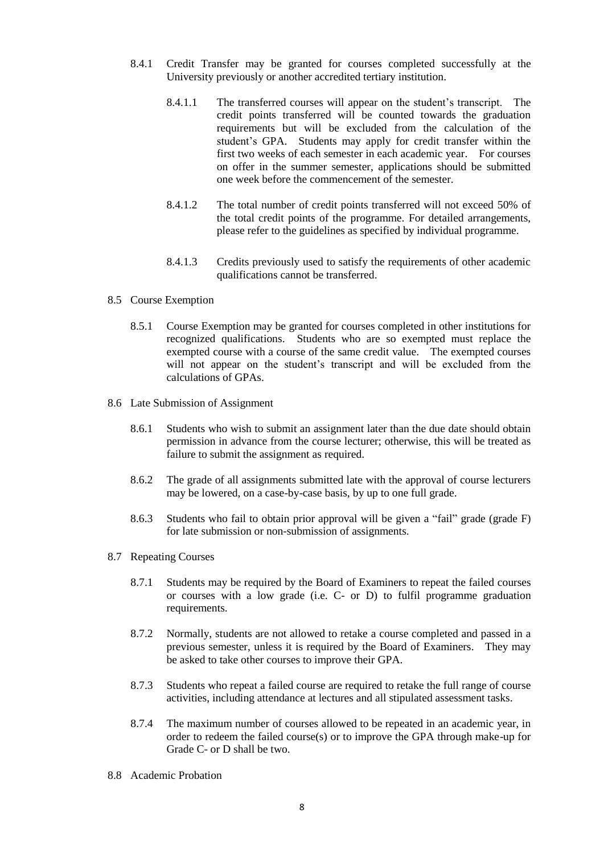- 8.4.1 Credit Transfer may be granted for courses completed successfully at the University previously or another accredited tertiary institution.
	- 8.4.1.1 The transferred courses will appear on the student's transcript. The credit points transferred will be counted towards the graduation requirements but will be excluded from the calculation of the student's GPA. Students may apply for credit transfer within the first two weeks of each semester in each academic year. For courses on offer in the summer semester, applications should be submitted one week before the commencement of the semester.
	- 8.4.1.2 The total number of credit points transferred will not exceed 50% of the total credit points of the programme. For detailed arrangements, please refer to the guidelines as specified by individual programme.
	- 8.4.1.3 Credits previously used to satisfy the requirements of other academic qualifications cannot be transferred.
- 8.5 Course Exemption
	- 8.5.1 Course Exemption may be granted for courses completed in other institutions for recognized qualifications. Students who are so exempted must replace the exempted course with a course of the same credit value. The exempted courses will not appear on the student's transcript and will be excluded from the calculations of GPAs.
- 8.6 Late Submission of Assignment
	- 8.6.1 Students who wish to submit an assignment later than the due date should obtain permission in advance from the course lecturer; otherwise, this will be treated as failure to submit the assignment as required.
	- 8.6.2 The grade of all assignments submitted late with the approval of course lecturers may be lowered, on a case-by-case basis, by up to one full grade.
	- 8.6.3 Students who fail to obtain prior approval will be given a "fail" grade (grade F) for late submission or non-submission of assignments.
- 8.7 Repeating Courses
	- 8.7.1 Students may be required by the Board of Examiners to repeat the failed courses or courses with a low grade (i.e. C- or D) to fulfil programme graduation requirements.
	- 8.7.2 Normally, students are not allowed to retake a course completed and passed in a previous semester, unless it is required by the Board of Examiners. They may be asked to take other courses to improve their GPA.
	- 8.7.3 Students who repeat a failed course are required to retake the full range of course activities, including attendance at lectures and all stipulated assessment tasks.
	- 8.7.4 The maximum number of courses allowed to be repeated in an academic year, in order to redeem the failed course(s) or to improve the GPA through make-up for Grade C- or D shall be two.
- 8.8 Academic Probation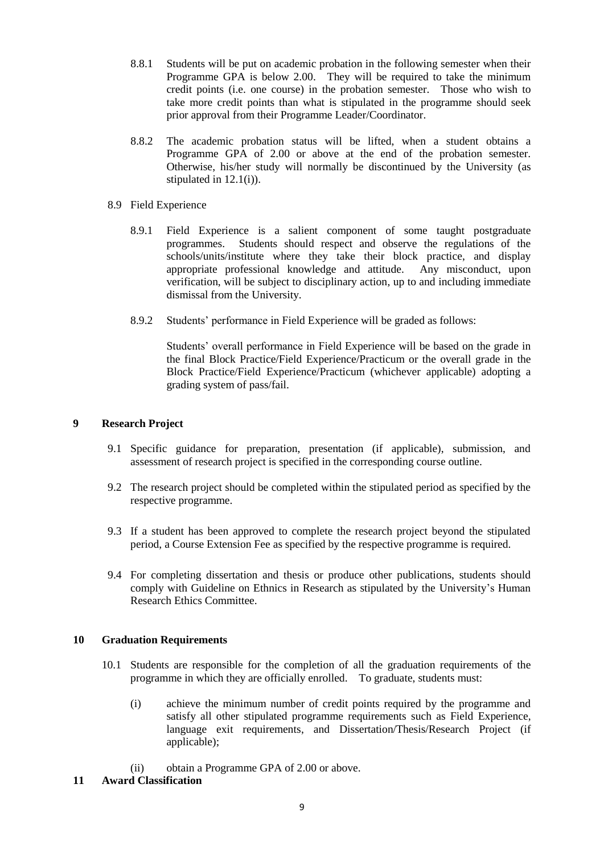- 8.8.1 Students will be put on academic probation in the following semester when their Programme GPA is below 2.00. They will be required to take the minimum credit points (i.e. one course) in the probation semester. Those who wish to take more credit points than what is stipulated in the programme should seek prior approval from their Programme Leader/Coordinator.
- 8.8.2 The academic probation status will be lifted, when a student obtains a Programme GPA of 2.00 or above at the end of the probation semester. Otherwise, his/her study will normally be discontinued by the University (as stipulated in 12.1(i)).
- 8.9 Field Experience
	- 8.9.1 Field Experience is a salient component of some taught postgraduate programmes. Students should respect and observe the regulations of the schools/units/institute where they take their block practice, and display appropriate professional knowledge and attitude. Any misconduct, upon verification, will be subject to disciplinary action, up to and including immediate dismissal from the University.
	- 8.9.2 Students' performance in Field Experience will be graded as follows:

Students' overall performance in Field Experience will be based on the grade in the final Block Practice/Field Experience/Practicum or the overall grade in the Block Practice/Field Experience/Practicum (whichever applicable) adopting a grading system of pass/fail.

# **9 Research Project**

- 9.1 Specific guidance for preparation, presentation (if applicable), submission, and assessment of research project is specified in the corresponding course outline.
- 9.2 The research project should be completed within the stipulated period as specified by the respective programme.
- 9.3 If a student has been approved to complete the research project beyond the stipulated period, a Course Extension Fee as specified by the respective programme is required.
- 9.4 For completing dissertation and thesis or produce other publications, students should comply with Guideline on Ethnics in Research as stipulated by the University's Human Research Ethics Committee.

# **10 Graduation Requirements**

- 10.1 Students are responsible for the completion of all the graduation requirements of the programme in which they are officially enrolled. To graduate, students must:
	- (i) achieve the minimum number of credit points required by the programme and satisfy all other stipulated programme requirements such as Field Experience, language exit requirements, and Dissertation/Thesis/Research Project (if applicable);
	- (ii) obtain a Programme GPA of 2.00 or above.
- **11 Award Classification**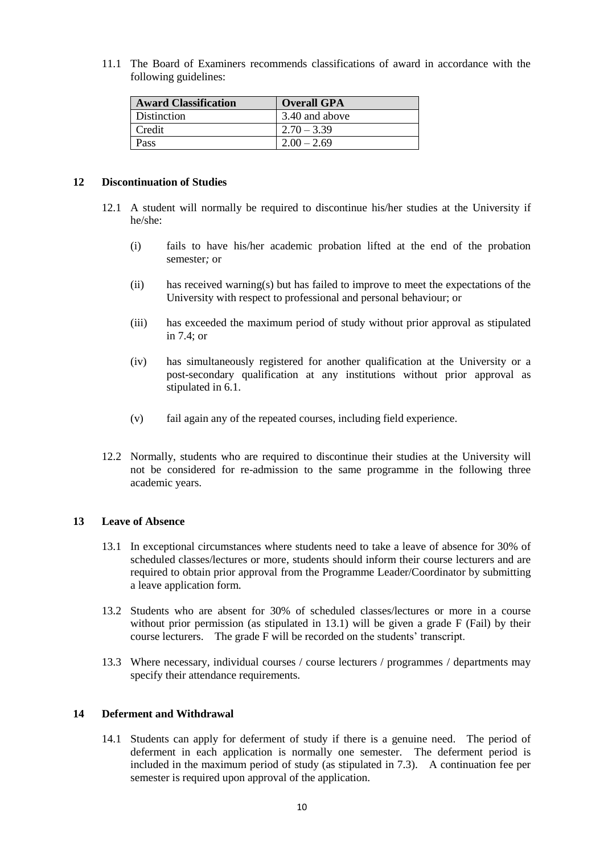11.1 The Board of Examiners recommends classifications of award in accordance with the following guidelines:

| <b>Award Classification</b> | <b>Overall GPA</b> |
|-----------------------------|--------------------|
| Distinction                 | 3.40 and above     |
| l Credit                    | $12.70 - 3.39$     |
| Pass                        | $12.00 - 2.69$     |

#### **12 Discontinuation of Studies**

- 12.1 A student will normally be required to discontinue his/her studies at the University if he/she:
	- (i) fails to have his/her academic probation lifted at the end of the probation semester*;* or
	- (ii) has received warning(s) but has failed to improve to meet the expectations of the University with respect to professional and personal behaviour; or
	- (iii) has exceeded the maximum period of study without prior approval as stipulated in 7.4; or
	- (iv) has simultaneously registered for another qualification at the University or a post-secondary qualification at any institutions without prior approval as stipulated in 6.1.
	- (v) fail again any of the repeated courses, including field experience.
- 12.2 Normally, students who are required to discontinue their studies at the University will not be considered for re-admission to the same programme in the following three academic years.

## **13 Leave of Absence**

- 13.1 In exceptional circumstances where students need to take a leave of absence for 30% of scheduled classes/lectures or more, students should inform their course lecturers and are required to obtain prior approval from the Programme Leader/Coordinator by submitting a leave application form.
- 13.2 Students who are absent for 30% of scheduled classes/lectures or more in a course without prior permission (as stipulated in  $13.1$ ) will be given a grade F (Fail) by their course lecturers. The grade F will be recorded on the students' transcript.
- 13.3 Where necessary, individual courses / course lecturers / programmes / departments may specify their attendance requirements.

## **14 Deferment and Withdrawal**

14.1 Students can apply for deferment of study if there is a genuine need. The period of deferment in each application is normally one semester. The deferment period is included in the maximum period of study (as stipulated in 7.3). A continuation fee per semester is required upon approval of the application.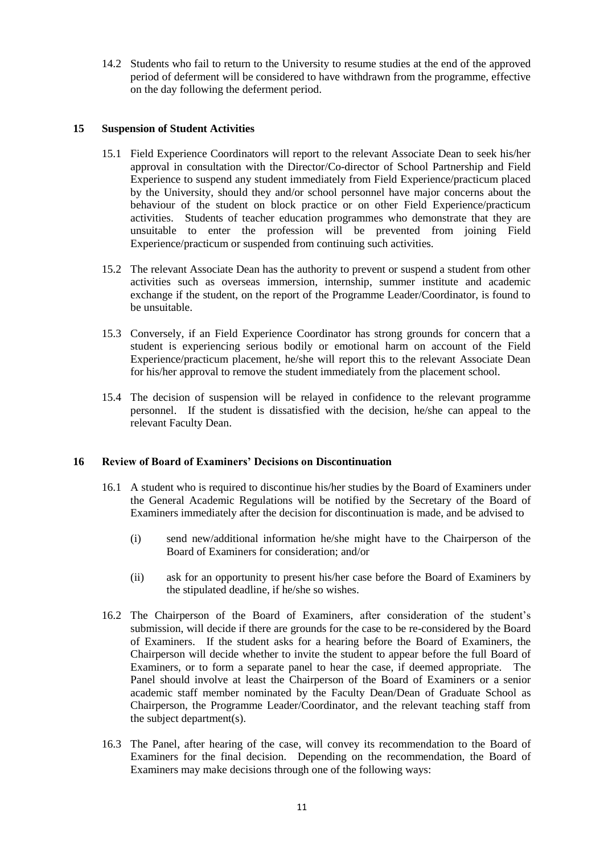14.2 Students who fail to return to the University to resume studies at the end of the approved period of deferment will be considered to have withdrawn from the programme, effective on the day following the deferment period.

# **15 Suspension of Student Activities**

- 15.1 Field Experience Coordinators will report to the relevant Associate Dean to seek his/her approval in consultation with the Director/Co-director of School Partnership and Field Experience to suspend any student immediately from Field Experience/practicum placed by the University, should they and/or school personnel have major concerns about the behaviour of the student on block practice or on other Field Experience/practicum activities. Students of teacher education programmes who demonstrate that they are unsuitable to enter the profession will be prevented from joining Field Experience/practicum or suspended from continuing such activities.
- 15.2 The relevant Associate Dean has the authority to prevent or suspend a student from other activities such as overseas immersion, internship, summer institute and academic exchange if the student, on the report of the Programme Leader/Coordinator, is found to be unsuitable.
- 15.3 Conversely, if an Field Experience Coordinator has strong grounds for concern that a student is experiencing serious bodily or emotional harm on account of the Field Experience/practicum placement, he/she will report this to the relevant Associate Dean for his/her approval to remove the student immediately from the placement school.
- 15.4 The decision of suspension will be relayed in confidence to the relevant programme personnel. If the student is dissatisfied with the decision, he/she can appeal to the relevant Faculty Dean.

## **16 Review of Board of Examiners' Decisions on Discontinuation**

- 16.1 A student who is required to discontinue his/her studies by the Board of Examiners under the General Academic Regulations will be notified by the Secretary of the Board of Examiners immediately after the decision for discontinuation is made, and be advised to
	- (i) send new/additional information he/she might have to the Chairperson of the Board of Examiners for consideration; and/or
	- (ii) ask for an opportunity to present his/her case before the Board of Examiners by the stipulated deadline, if he/she so wishes.
- 16.2 The Chairperson of the Board of Examiners, after consideration of the student's submission, will decide if there are grounds for the case to be re-considered by the Board of Examiners. If the student asks for a hearing before the Board of Examiners, the Chairperson will decide whether to invite the student to appear before the full Board of Examiners, or to form a separate panel to hear the case, if deemed appropriate. The Panel should involve at least the Chairperson of the Board of Examiners or a senior academic staff member nominated by the Faculty Dean/Dean of Graduate School as Chairperson, the Programme Leader/Coordinator, and the relevant teaching staff from the subject department(s).
- 16.3 The Panel, after hearing of the case, will convey its recommendation to the Board of Examiners for the final decision. Depending on the recommendation, the Board of Examiners may make decisions through one of the following ways: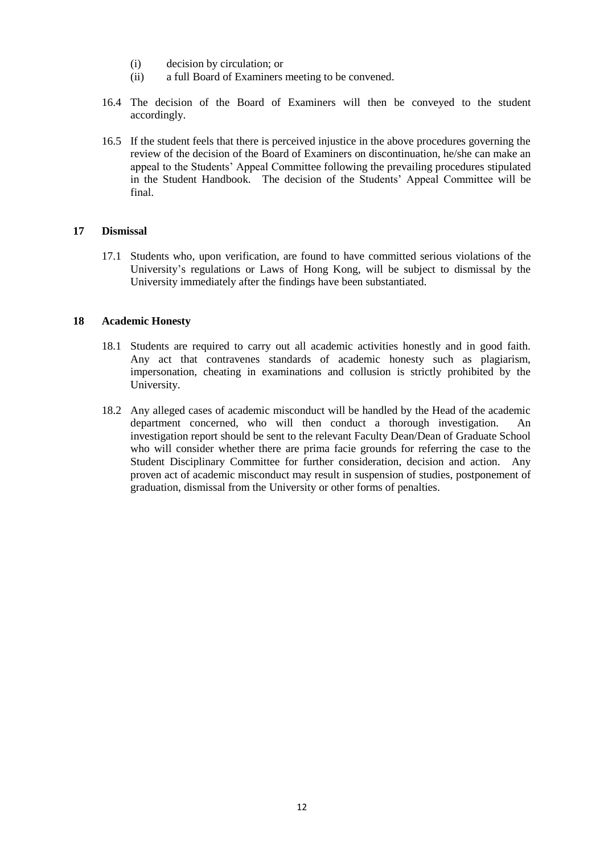- (i) decision by circulation; or
- (ii) a full Board of Examiners meeting to be convened.
- 16.4 The decision of the Board of Examiners will then be conveyed to the student accordingly.
- 16.5 If the student feels that there is perceived injustice in the above procedures governing the review of the decision of the Board of Examiners on discontinuation, he/she can make an appeal to the Students' Appeal Committee following the prevailing procedures stipulated in the Student Handbook. The decision of the Students' Appeal Committee will be final.

#### **17 Dismissal**

17.1 Students who, upon verification, are found to have committed serious violations of the University's regulations or Laws of Hong Kong, will be subject to dismissal by the University immediately after the findings have been substantiated.

#### **18 Academic Honesty**

- 18.1 Students are required to carry out all academic activities honestly and in good faith. Any act that contravenes standards of academic honesty such as plagiarism, impersonation, cheating in examinations and collusion is strictly prohibited by the University.
- 18.2 Any alleged cases of academic misconduct will be handled by the Head of the academic department concerned, who will then conduct a thorough investigation. An investigation report should be sent to the relevant Faculty Dean/Dean of Graduate School who will consider whether there are prima facie grounds for referring the case to the Student Disciplinary Committee for further consideration, decision and action. Any proven act of academic misconduct may result in suspension of studies, postponement of graduation, dismissal from the University or other forms of penalties.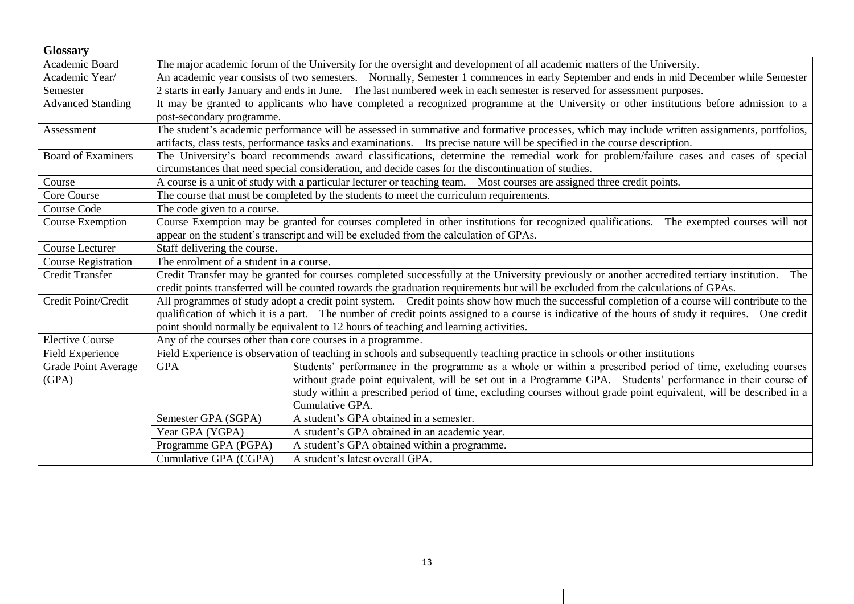| <b>Glossary</b>            |                                                                                                                                                   |                                                                                                                                   |  |
|----------------------------|---------------------------------------------------------------------------------------------------------------------------------------------------|-----------------------------------------------------------------------------------------------------------------------------------|--|
| Academic Board             |                                                                                                                                                   | The major academic forum of the University for the oversight and development of all academic matters of the University.           |  |
| Academic Year/             | An academic year consists of two semesters. Normally, Semester 1 commences in early September and ends in mid December while Semester             |                                                                                                                                   |  |
| Semester                   | 2 starts in early January and ends in June. The last numbered week in each semester is reserved for assessment purposes.                          |                                                                                                                                   |  |
| <b>Advanced Standing</b>   | It may be granted to applicants who have completed a recognized programme at the University or other institutions before admission to a           |                                                                                                                                   |  |
|                            | post-secondary programme.                                                                                                                         |                                                                                                                                   |  |
| Assessment                 | The student's academic performance will be assessed in summative and formative processes, which may include written assignments, portfolios,      |                                                                                                                                   |  |
|                            |                                                                                                                                                   | artifacts, class tests, performance tasks and examinations. Its precise nature will be specified in the course description.       |  |
| <b>Board of Examiners</b>  | The University's board recommends award classifications, determine the remedial work for problem/failure cases and cases of special               |                                                                                                                                   |  |
|                            | circumstances that need special consideration, and decide cases for the discontinuation of studies.                                               |                                                                                                                                   |  |
| Course                     | A course is a unit of study with a particular lecturer or teaching team. Most courses are assigned three credit points.                           |                                                                                                                                   |  |
| Core Course                | The course that must be completed by the students to meet the curriculum requirements.                                                            |                                                                                                                                   |  |
| Course Code                | The code given to a course.                                                                                                                       |                                                                                                                                   |  |
| Course Exemption           | Course Exemption may be granted for courses completed in other institutions for recognized qualifications. The exempted courses will not          |                                                                                                                                   |  |
|                            |                                                                                                                                                   | appear on the student's transcript and will be excluded from the calculation of GPAs.                                             |  |
| Course Lecturer            | Staff delivering the course.                                                                                                                      |                                                                                                                                   |  |
| <b>Course Registration</b> | The enrolment of a student in a course.                                                                                                           |                                                                                                                                   |  |
| <b>Credit Transfer</b>     | Credit Transfer may be granted for courses completed successfully at the University previously or another accredited tertiary institution. The    |                                                                                                                                   |  |
|                            |                                                                                                                                                   | credit points transferred will be counted towards the graduation requirements but will be excluded from the calculations of GPAs. |  |
| Credit Point/Credit        | All programmes of study adopt a credit point system. Credit points show how much the successful completion of a course will contribute to the     |                                                                                                                                   |  |
|                            | qualification of which it is a part. The number of credit points assigned to a course is indicative of the hours of study it requires. One credit |                                                                                                                                   |  |
|                            |                                                                                                                                                   | point should normally be equivalent to 12 hours of teaching and learning activities.                                              |  |
| <b>Elective Course</b>     |                                                                                                                                                   | Any of the courses other than core courses in a programme.                                                                        |  |
| Field Experience           |                                                                                                                                                   | Field Experience is observation of teaching in schools and subsequently teaching practice in schools or other institutions        |  |
| Grade Point Average        | <b>GPA</b>                                                                                                                                        | Students' performance in the programme as a whole or within a prescribed period of time, excluding courses                        |  |
| (GPA)                      |                                                                                                                                                   | without grade point equivalent, will be set out in a Programme GPA. Students' performance in their course of                      |  |
|                            |                                                                                                                                                   | study within a prescribed period of time, excluding courses without grade point equivalent, will be described in a                |  |
|                            |                                                                                                                                                   | Cumulative GPA.                                                                                                                   |  |
|                            | Semester GPA (SGPA)                                                                                                                               | A student's GPA obtained in a semester.                                                                                           |  |
|                            | Year GPA (YGPA)                                                                                                                                   | A student's GPA obtained in an academic year.                                                                                     |  |
|                            | Programme GPA (PGPA)                                                                                                                              | A student's GPA obtained within a programme.                                                                                      |  |
|                            | Cumulative GPA (CGPA)                                                                                                                             | A student's latest overall GPA.                                                                                                   |  |